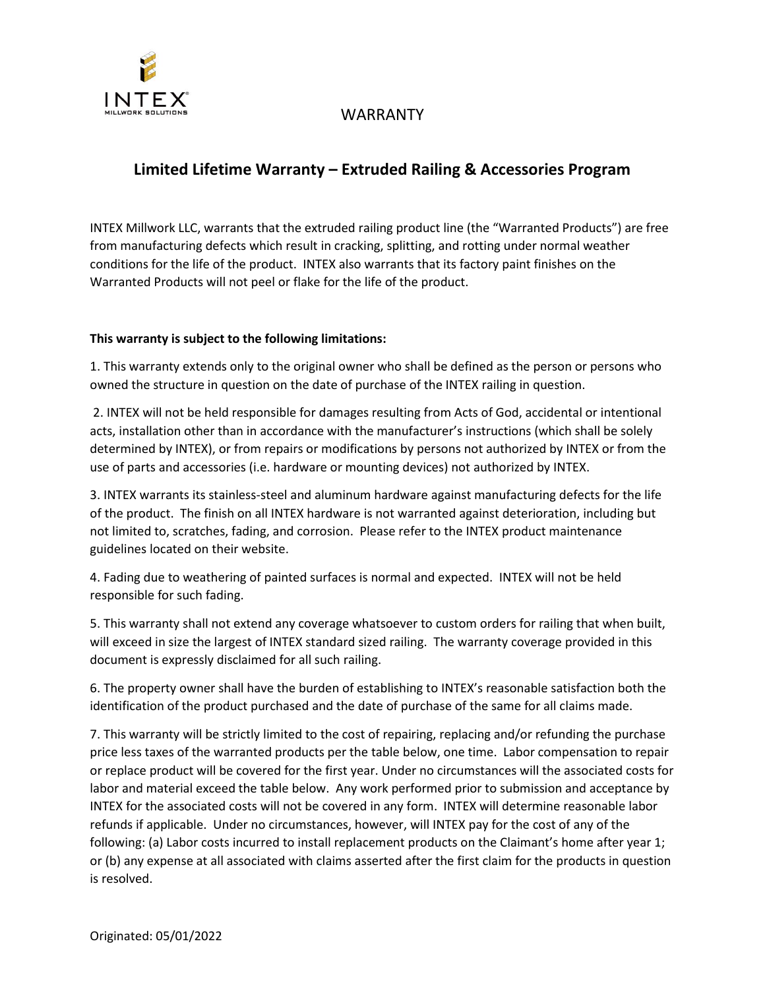

## WARRANTY

# **Limited Lifetime Warranty – Extruded Railing & Accessories Program**

INTEX Millwork LLC, warrants that the extruded railing product line (the "Warranted Products") are free from manufacturing defects which result in cracking, splitting, and rotting under normal weather conditions for the life of the product. INTEX also warrants that its factory paint finishes on the Warranted Products will not peel or flake for the life of the product.

#### **This warranty is subject to the following limitations:**

1. This warranty extends only to the original owner who shall be defined as the person or persons who owned the structure in question on the date of purchase of the INTEX railing in question.

2. INTEX will not be held responsible for damages resulting from Acts of God, accidental or intentional acts, installation other than in accordance with the manufacturer's instructions (which shall be solely determined by INTEX), or from repairs or modifications by persons not authorized by INTEX or from the use of parts and accessories (i.e. hardware or mounting devices) not authorized by INTEX.

3. INTEX warrants its stainless-steel and aluminum hardware against manufacturing defects for the life of the product. The finish on all INTEX hardware is not warranted against deterioration, including but not limited to, scratches, fading, and corrosion. Please refer to the INTEX product maintenance guidelines located on their website.

4. Fading due to weathering of painted surfaces is normal and expected. INTEX will not be held responsible for such fading.

5. This warranty shall not extend any coverage whatsoever to custom orders for railing that when built, will exceed in size the largest of INTEX standard sized railing. The warranty coverage provided in this document is expressly disclaimed for all such railing.

6. The property owner shall have the burden of establishing to INTEX's reasonable satisfaction both the identification of the product purchased and the date of purchase of the same for all claims made.

7. This warranty will be strictly limited to the cost of repairing, replacing and/or refunding the purchase price less taxes of the warranted products per the table below, one time. Labor compensation to repair or replace product will be covered for the first year. Under no circumstances will the associated costs for labor and material exceed the table below. Any work performed prior to submission and acceptance by INTEX for the associated costs will not be covered in any form. INTEX will determine reasonable labor refunds if applicable. Under no circumstances, however, will INTEX pay for the cost of any of the following: (a) Labor costs incurred to install replacement products on the Claimant's home after year 1; or (b) any expense at all associated with claims asserted after the first claim for the products in question is resolved.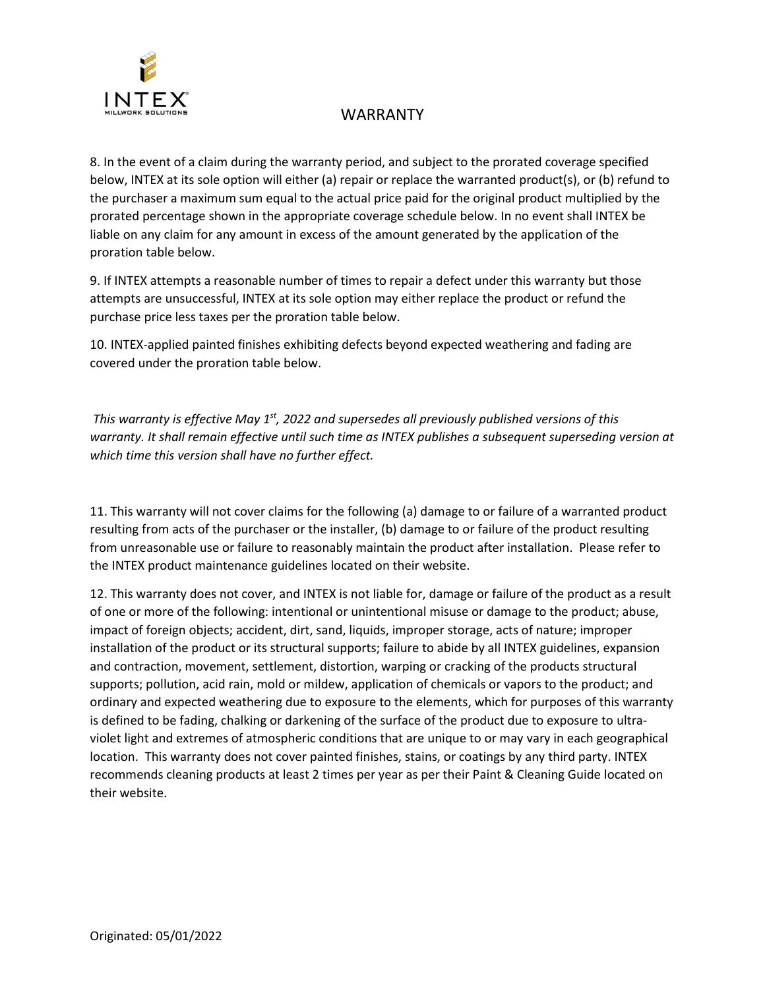

## WARRANTY

8. In the event of a claim during the warranty period, and subject to the prorated coverage specified below, INTEX at its sole option will either (a) repair or replace the warranted product(s), or (b) refund to the purchaser a maximum sum equal to the actual price paid for the original product multiplied by the prorated percentage shown in the appropriate coverage schedule below. In no event shall INTEX be liable on any claim for any amount in excess of the amount generated by the application of the proration table below.

9. If INTEX attempts a reasonable number of times to repair a defect under this warranty but those attempts are unsuccessful, INTEX at its sole option may either replace the product or refund the purchase price less taxes per the proration table below.

10. INTEX-applied painted finishes exhibiting defects beyond expected weathering and fading are covered under the proration table below.

*This warranty is effective May 1st, 2022 and supersedes all previously published versions of this warranty. It shall remain effective until such time as INTEX publishes a subsequent superseding version at which time this version shall have no further effect.* 

11. This warranty will not cover claims for the following (a) damage to or failure of a warranted product resulting from acts of the purchaser or the installer, (b) damage to or failure of the product resulting from unreasonable use or failure to reasonably maintain the product after installation. Please refer to the INTEX product maintenance guidelines located on their website.

12. This warranty does not cover, and INTEX is not liable for, damage or failure of the product as a result of one or more of the following: intentional or unintentional misuse or damage to the product; abuse, impact of foreign objects; accident, dirt, sand, liquids, improper storage, acts of nature; improper installation of the product or its structural supports; failure to abide by all INTEX guidelines, expansion and contraction, movement, settlement, distortion, warping or cracking of the products structural supports; pollution, acid rain, mold or mildew, application of chemicals or vapors to the product; and ordinary and expected weathering due to exposure to the elements, which for purposes of this warranty is defined to be fading, chalking or darkening of the surface of the product due to exposure to ultraviolet light and extremes of atmospheric conditions that are unique to or may vary in each geographical location. This warranty does not cover painted finishes, stains, or coatings by any third party. INTEX recommends cleaning products at least 2 times per year as per their Paint & Cleaning Guide located on their website.